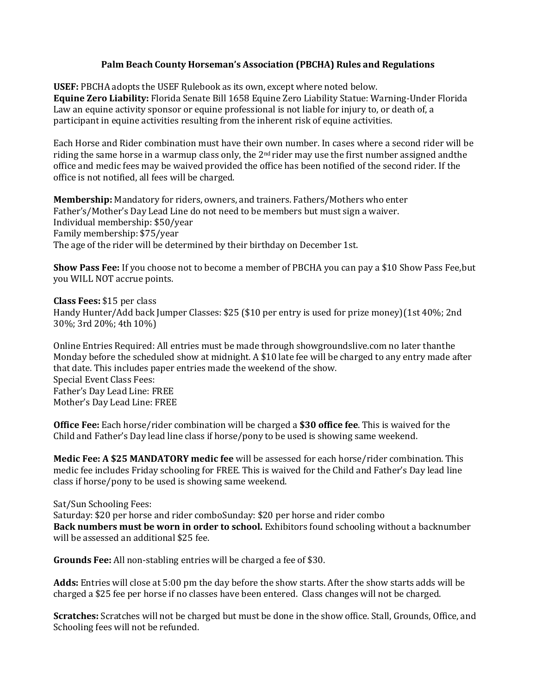## **Palm Beach County Horseman's Association (PBCHA) Rules and Regulations**

**USEF:** PBCHA adopts the USEF Rulebook as its own, except where noted below. **Equine Zero Liability:** Florida Senate Bill 1658 Equine Zero Liability Statue: Warning-Under Florida Law an equine activity sponsor or equine professional is not liable for injury to, or death of, a participant in equine activities resulting from the inherent risk of equine activities.

Each Horse and Rider combination must have their own number. In cases where a second rider will be riding the same horse in a warmup class only, the  $2<sup>nd</sup>$  rider may use the first number assigned and the office and medic fees may be waived provided the office has been notified of the second rider. If the office is not notified, all fees will be charged.

**Membership:** Mandatory for riders, owners, and trainers. Fathers/Mothers who enter Father's/Mother's Day Lead Line do not need to be members but must sign a waiver. Individual membership: \$50/year Family membership: \$75/year The age of the rider will be determined by their birthday on December 1st.

**Show Pass Fee:** If you choose not to become a member of PBCHA you can pay a \$10 Show Pass Fee,but you WILL NOT accrue points.

**Class Fees:** \$15 per class Handy Hunter/Add back Jumper Classes: \$25 (\$10 per entry is used for prize money)(1st 40%; 2nd 30%; 3rd 20%; 4th 10%)

Online Entries Required: All entries must be made through showgroundslive.com no later thanthe Monday before the scheduled show at midnight. A \$10 late fee will be charged to any entry made after that date. This includes paper entries made the weekend of the show. Special Event Class Fees: Father's Day Lead Line: FREE Mother's Day Lead Line: FREE

**Office Fee:** Each horse/rider combination will be charged a **\$30 office fee**. This is waived for the Child and Father's Day lead line class if horse/pony to be used is showing same weekend.

**Medic Fee: A \$25 MANDATORY medic fee** will be assessed for each horse/rider combination. This medic fee includes Friday schooling for FREE. This is waived for the Child and Father's Day lead line class if horse/pony to be used is showing same weekend.

Sat/Sun Schooling Fees:

Saturday: \$20 per horse and rider comboSunday: \$20 per horse and rider combo **Back numbers must be worn in order to school.** Exhibitors found schooling without a backnumber will be assessed an additional \$25 fee.

**Grounds Fee:** All non-stabling entries will be charged a fee of \$30.

**Adds:** Entries will close at 5:00 pm the day before the show starts. After the show starts adds will be charged a \$25 fee per horse if no classes have been entered. Class changes will not be charged.

**Scratches:** Scratches will not be charged but must be done in the show office. Stall, Grounds, Office, and Schooling fees will not be refunded.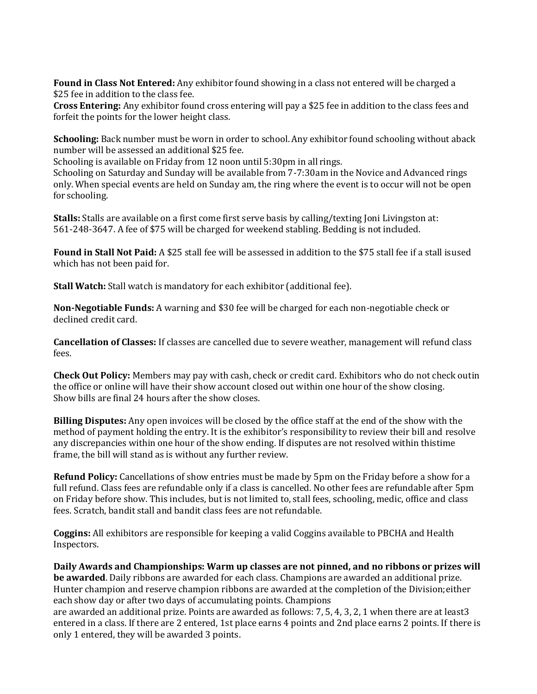**Found in Class Not Entered:** Any exhibitor found showing in a class not entered will be charged a \$25 fee in addition to the class fee.

**Cross Entering:** Any exhibitor found cross entering will pay a \$25 fee in addition to the class fees and forfeit the points for the lower height class.

**Schooling:** Back number must be worn in order to school. Any exhibitor found schooling without aback number will be assessed an additional \$25 fee.

Schooling is available on Friday from 12 noon until 5:30pm in all rings.

Schooling on Saturday and Sunday will be available from 7-7:30am in the Novice and Advanced rings only. When special events are held on Sunday am, the ring where the event is to occur will not be open for schooling.

**Stalls:** Stalls are available on a first come first serve basis by calling/texting Joni Livingston at: 561-248-3647. A fee of \$75 will be charged for weekend stabling. Bedding is not included.

**Found in Stall Not Paid:** A \$25 stall fee will be assessed in addition to the \$75 stall fee if a stall isused which has not been paid for.

**Stall Watch:** Stall watch is mandatory for each exhibitor (additional fee).

**Non-Negotiable Funds:** A warning and \$30 fee will be charged for each non-negotiable check or declined credit card.

**Cancellation of Classes:** If classes are cancelled due to severe weather, management will refund class fees.

**Check Out Policy:** Members may pay with cash, check or credit card. Exhibitors who do not check outin the office or online will have their show account closed out within one hour of the show closing. Show bills are final 24 hours after the show closes.

**Billing Disputes:** Any open invoices will be closed by the office staff at the end of the show with the method of payment holding the entry. It is the exhibitor's responsibility to review their bill and resolve any discrepancies within one hour of the show ending. If disputes are not resolved within thistime frame, the bill will stand as is without any further review.

**Refund Policy:** Cancellations of show entries must be made by 5pm on the Friday before a show for a full refund. Class fees are refundable only if a class is cancelled. No other fees are refundable after 5pm on Friday before show. This includes, but is not limited to, stall fees, schooling, medic, office and class fees. Scratch, bandit stall and bandit class fees are not refundable.

**Coggins:** All exhibitors are responsible for keeping a valid Coggins available to PBCHA and Health Inspectors.

**Daily Awards and Championships: Warm up classes are not pinned, and no ribbons or prizes will be awarded**. Daily ribbons are awarded for each class. Champions are awarded an additional prize. Hunter champion and reserve champion ribbons are awarded at the completion of the Division;either each show day or after two days of accumulating points. Champions

are awarded an additional prize. Points are awarded as follows: 7, 5, 4, 3, 2, 1 when there are at least3 entered in a class. If there are 2 entered, 1st place earns 4 points and 2nd place earns 2 points. If there is only 1 entered, they will be awarded 3 points.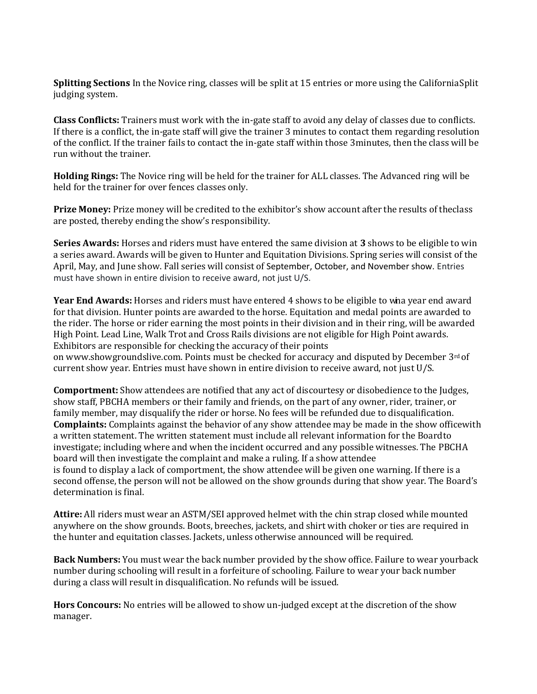**Splitting Sections** In the Novice ring, classes will be split at 15 entries or more using the CaliforniaSplit judging system.

**Class Conflicts:** Trainers must work with the in-gate staff to avoid any delay of classes due to conflicts. If there is a conflict, the in-gate staff will give the trainer 3 minutes to contact them regarding resolution of the conflict. If the trainer fails to contact the in-gate staff within those 3minutes, then the class will be run without the trainer.

**Holding Rings:** The Novice ring will be held for the trainer for ALL classes. The Advanced ring will be held for the trainer for over fences classes only.

**Prize Money:** Prize money will be credited to the exhibitor's show account after the results of theclass are posted, thereby ending the show's responsibility.

**Series Awards:** Horses and riders must have entered the same division at **3** shows to be eligible to win a series award. Awards will be given to Hunter and Equitation Divisions. Spring series will consist of the April, May, and June show. Fall series will consist of September, October, and November show. Entries must have shown in entire division to receive award, not just U/S.

**Year End Awards:** Horses and riders must have entered 4 shows to be eligible to wina year end award for that division. Hunter points are awarded to the horse. Equitation and medal points are awarded to the rider. The horse or rider earning the most points in their division and in their ring, will be awarded High Point. Lead Line, Walk Trot and Cross Rails divisions are not eligible for High Point awards. Exhibitors are responsible for checking the accuracy of their points on [www.showgroundslive.com.](http://www.showgroundslive.com/) Points must be checked for accuracy and disputed by December 3rd of current show year. Entries must have shown in entire division to receive award, not just U/S.

**Comportment:** Show attendees are notified that any act of discourtesy or disobedience to the Judges, show staff, PBCHA members or their family and friends, on the part of any owner, rider, trainer, or family member, may disqualify the rider or horse. No fees will be refunded due to disqualification. **Complaints:** Complaints against the behavior of any show attendee may be made in the show officewith a written statement. The written statement must include all relevant information for the Boardto investigate; including where and when the incident occurred and any possible witnesses. The PBCHA board will then investigate the complaint and make a ruling. If a show attendee is found to display a lack of comportment, the show attendee will be given one warning. If there is a second offense, the person will not be allowed on the show grounds during that show year. The Board's determination is final.

**Attire:** All riders must wear an ASTM/SEI approved helmet with the chin strap closed while mounted anywhere on the show grounds. Boots, breeches, jackets, and shirt with choker or ties are required in the hunter and equitation classes. Jackets, unless otherwise announced will be required.

**Back Numbers:** You must wear the back number provided by the show office. Failure to wear yourback number during schooling will result in a forfeiture of schooling. Failure to wear your back number during a class will result in disqualification. No refunds will be issued.

**Hors Concours:** No entries will be allowed to show un-judged except at the discretion of the show manager.